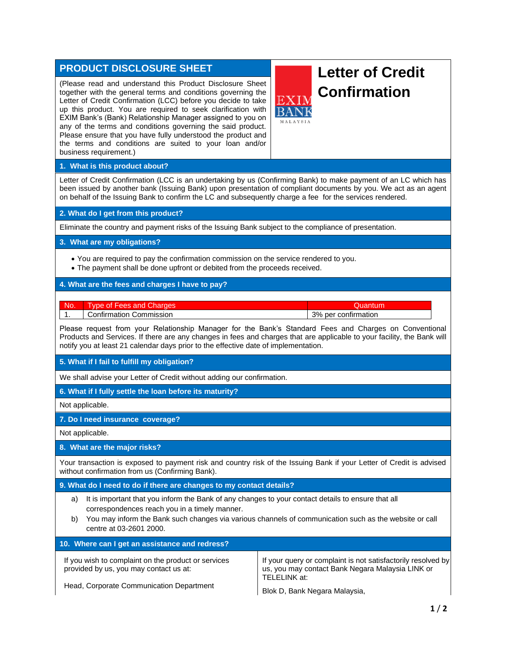# **PRODUCT DISCLOSURE SHEET**

(Please read and understand this Product Disclosure Sheet together with the general terms and conditions governing the Letter of Credit Confirmation (LCC) before you decide to take up this product. You are required to seek clarification with EXIM Bank's (Bank) Relationship Manager assigned to you on any of the terms and conditions governing the said product. Please ensure that you have fully understood the product and the terms and conditions are suited to your loan and/or business requirement.)

# **Letter of Credit Confirmation**

## **1. What is this product about?**

Letter of Credit Confirmation (LCC is an undertaking by us (Confirming Bank) to make payment of an LC which has been issued by another bank (Issuing Bank) upon presentation of compliant documents by you. We act as an agent on behalf of the Issuing Bank to confirm the LC and subsequently charge a fee for the services rendered.

## **2. What do I get from this product?**

Eliminate the country and payment risks of the Issuing Bank subject to the compliance of presentation.

## **3. What are my obligations?**

- You are required to pay the confirmation commission on the service rendered to you.
- The payment shall be done upfront or debited from the proceeds received.

# **4. What are the fees and charges I have to pay?**

No. Type of Fees and Charges **Charges According the Control of Transform Control**ution Cuantum 1. Confirmation Commission 3% per confirmation

Please request from your Relationship Manager for the Bank's Standard Fees and Charges on Conventional Products and Services. If there are any changes in fees and charges that are applicable to your facility, the Bank will notify you at least 21 calendar days prior to the effective date of implementation.

# **5. What if I fail to fulfill my obligation?**

We shall advise your Letter of Credit without adding our confirmation.

**6. What if I fully settle the loan before its maturity?**

Not applicable.

# **7. Do I need insurance coverage?**

Not applicable.

## **8. What are the major risks?**

Your transaction is exposed to payment risk and country risk of the Issuing Bank if your Letter of Credit is advised without confirmation from us (Confirming Bank).

## **9. What do I need to do if there are changes to my contact details?**

- a) It is important that you inform the Bank of any changes to your contact details to ensure that all correspondences reach you in a timely manner.
- b) You may inform the Bank such changes via various channels of communication such as the website or call centre at 03-2601 2000.

| 10. Where can I get an assistance and redress?                                                |                                                                                                                                  |
|-----------------------------------------------------------------------------------------------|----------------------------------------------------------------------------------------------------------------------------------|
| If you wish to complaint on the product or services<br>provided by us, you may contact us at: | If your query or complaint is not satisfactorily resolved by<br>us, you may contact Bank Negara Malaysia LINK or<br>TELELINK at: |
| Head, Corporate Communication Department                                                      | Blok D, Bank Negara Malaysia,                                                                                                    |